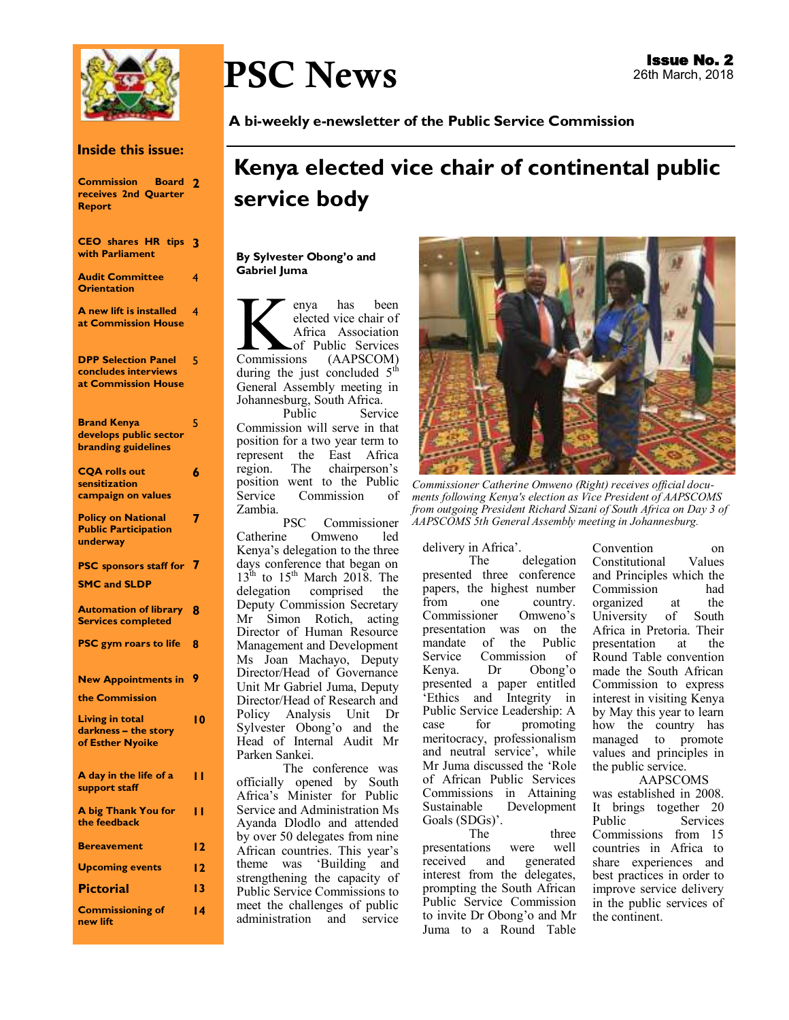

#### **Inside this issue:**

| <b>Commission Board</b><br>receives 2nd Quarter<br><b>Report</b>           | 2  |
|----------------------------------------------------------------------------|----|
| <b>CEO</b> shares HR tips<br>with Parliament                               | 3  |
| <b>Audit Committee</b><br><b>Orientation</b>                               | 4  |
| A new lift is installed<br>at Commission House                             | 4  |
| <b>DPP Selection Panel</b><br>concludes interviews<br>at Commission House  | 5  |
| <b>Brand Kenya</b><br>develops public sector<br><b>branding guidelines</b> | 5  |
| <b>CQA rolls out</b><br>sensitization<br>campaign on values                | 6  |
| <b>Policy on National</b><br><b>Public Participation</b><br>underway       | 7  |
| <b>PSC</b> sponsors staff for<br><b>SMC and SLDP</b>                       | 7  |
| <b>Automation of library</b><br><b>Services completed</b>                  | 8  |
| <b>PSC gym roars to life</b>                                               | 8  |
| <b>New Appointments in</b><br>the Commission                               | 9  |
| <b>Living in total</b><br>darkness - the story<br>of Esther Nyoike         | ۱0 |
| A day in the life of a<br>support staff                                    | п  |
| A big Thank You for<br>the feedback                                        | н  |
| <b>Bereavement</b>                                                         | 12 |
| <b>Upcoming events</b>                                                     | 12 |
| <b>Pictorial</b>                                                           | 13 |
| <b>Commissioning of</b><br>new lift                                        | 14 |

# PSC News

**A bi-weekly e-newsletter of the Public Service Commission** 

## **Kenya elected vice chair of continental public service body**

#### **By Sylvester Obong'o and Gabriel Juma**

Expansion de la Africa<br>Commissions has been elected vice chair of Africa Association of Public Services (AAPSCOM) during the just concluded  $5<sup>th</sup>$ General Assembly meeting in Johannesburg, South Africa.

Public Service Commission will serve in that position for a two year term to represent the East Africa region. The chairperson's position went to the Public Service Commission of

Zambia. PSC Commissioner<br>Catherine Omweno led Omweno Kenya's delegation to the three days conference that began on  $13<sup>th</sup>$  to  $15<sup>th</sup>$  March 2018. The delegation comprised the Deputy Commission Secretary Mr Simon Rotich, acting Director of Human Resource Management and Development Ms Joan Machayo, Deputy Director/Head of Governance Unit Mr Gabriel Juma, Deputy Director/Head of Research and Policy Analysis Unit Dr Sylvester Obong'o and the Head of Internal Audit Mr Parken Sankei.

The conference was officially opened by South Africa's Minister for Public Service and Administration Ms Ayanda Dlodlo and attended by over 50 delegates from nine African countries. This year's theme was 'Building and strengthening the capacity of Public Service Commissions to meet the challenges of public administration and service



*Commissioner Catherine Omweno (Right) receives official documents following Kenya's election as Vice President of AAPSCOMS from outgoing President Richard Sizani of South Africa on Day 3 of AAPSCOMS 5th General Assembly meeting in Johannesburg.*

delivery in Africa'.

delegation presented three conference papers, the highest number from one country.<br>Commissioner Omweno's Commissioner presentation was on the mandate of the Public Service Commission of Kenya. Dr Obong'o presented a paper entitled 'Ethics and Integrity in Public Service Leadership: A case for promoting meritocracy, professionalism and neutral service', while Mr Juma discussed the 'Role of African Public Services Commissions in Attaining Development Goals (SDGs)'.

The three presentations were well<br>received and generated received and interest from the delegates, prompting the South African Public Service Commission to invite Dr Obong'o and Mr Juma to a Round Table

Convention on Constitutional Values and Principles which the Commission organized at the University of South Africa in Pretoria. Their<br>presentation at the presentation at Round Table convention made the South African Commission to express interest in visiting Kenya by May this year to learn how the country has managed to promote values and principles in the public service.

AAPSCOMS was established in 2008. It brings together 20 Services Commissions from 15 countries in Africa to share experiences and best practices in order to improve service delivery in the public services of the continent.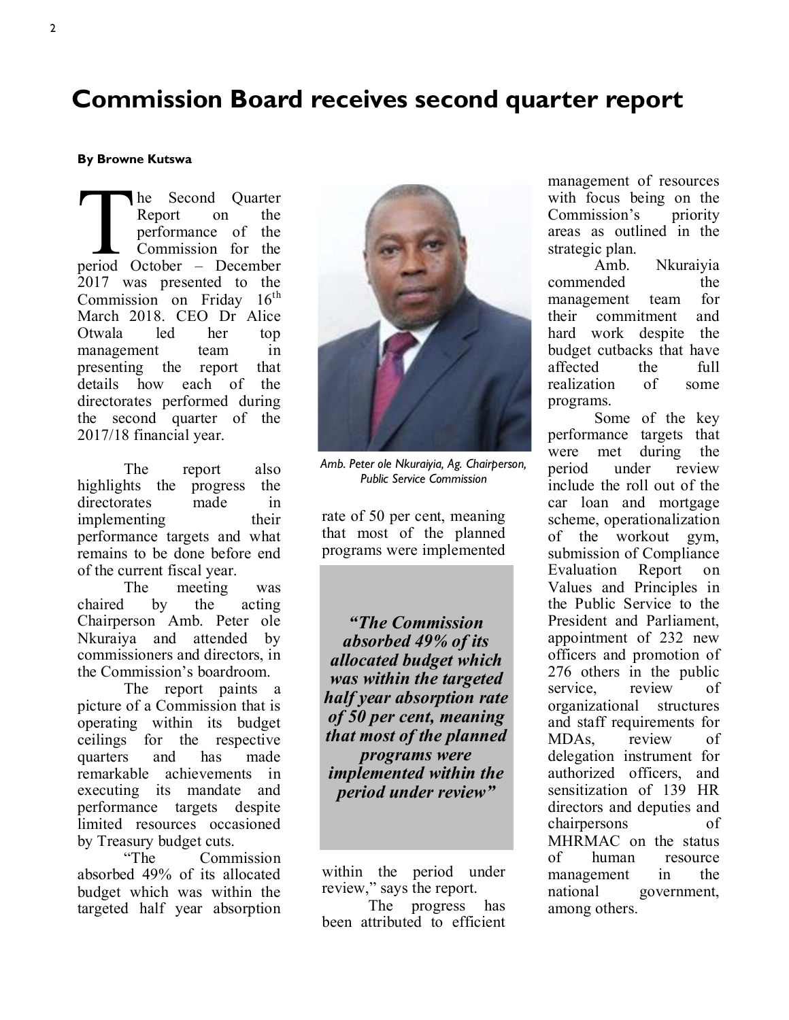### **Commission Board receives second quarter report**

#### **By Browne Kutswa**

The Second Quarter<br>
Report on the<br>
performance of the<br>
Commission for the<br>
period October – December he Second Quarter Report on the performance of the Commission for the 2017 was presented to the Commission on Friday  $16^{\text{th}}$ March 2018. CEO Dr Alice Otwala led her top management team in presenting the report that details how each of the directorates performed during the second quarter of the 2017/18 financial year.

The report also highlights the progress the directorates made in implementing their performance targets and what remains to be done before end of the current fiscal year.

The meeting was chaired by the acting Chairperson Amb. Peter ole Nkuraiya and attended by commissioners and directors, in the Commission's boardroom.

The report paints a picture of a Commission that is operating within its budget ceilings for the respective quarters and has made remarkable achievements in executing its mandate and performance targets despite limited resources occasioned by Treasury budget cuts.

"The Commission absorbed 49% of its allocated budget which was within the targeted half year absorption



*Amb. Peter ole Nkuraiyia, Ag. Chairperson, Public Service Commission* 

rate of 50 per cent, meaning that most of the planned programs were implemented

*"The Commission absorbed 49% of its allocated budget which was within the targeted half year absorption rate of 50 per cent, meaning that most of the planned programs were implemented within the period under review"*

within the period under review," says the report. The progress has

been attributed to efficient

management of resources with focus being on the Commission's priority areas as outlined in the strategic plan.

Amb. Nkuraiyia commended the management team for their commitment and hard work despite the budget cutbacks that have affected the full realization of some programs.

Some of the key performance targets that were met during the period under review include the roll out of the car loan and mortgage scheme, operationalization of the workout gym, submission of Compliance Evaluation Report on Values and Principles in the Public Service to the President and Parliament, appointment of 232 new officers and promotion of 276 others in the public service, review of organizational structures and staff requirements for MDAs, review of delegation instrument for authorized officers, and sensitization of 139 HR directors and deputies and chairpersons of MHRMAC on the status of human resource management in the national government, among others.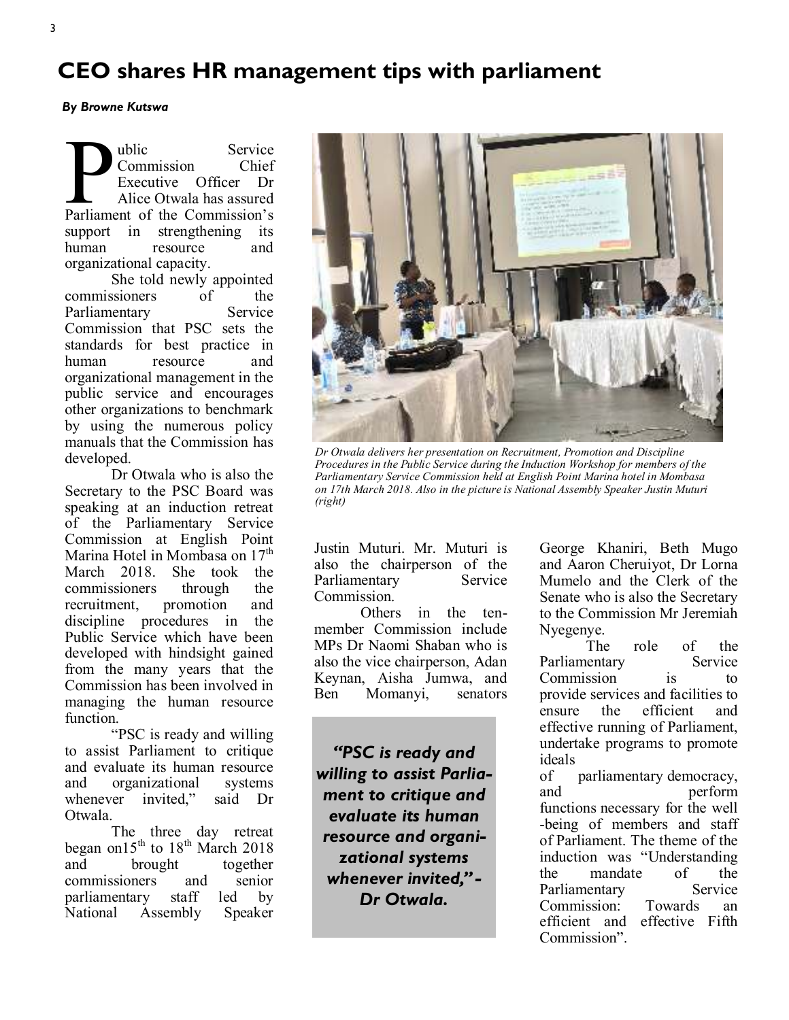### **CEO shares HR management tips with parliament**

*By Browne Kutswa* 

**Parliament of the Commission**<br>
Executive Officer Dr<br>
Alice Otwala has assured<br>
Parliament of the Commission's ublic Service Commission Chief Executive Officer Dr Alice Otwala has assured support in strengthening its human resource and organizational capacity.

She told newly appointed commissioners of the<br>Parliamentary Service Parliamentary Commission that PSC sets the standards for best practice in human resource and organizational management in the public service and encourages other organizations to benchmark by using the numerous policy manuals that the Commission has developed.

Dr Otwala who is also the Secretary to the PSC Board was speaking at an induction retreat of the Parliamentary Service Commission at English Point Marina Hotel in Mombasa on 17<sup>th</sup> March 2018. She took the commissioners through the recruitment, promotion and discipline procedures in the Public Service which have been developed with hindsight gained from the many years that the Commission has been involved in managing the human resource function.

"PSC is ready and willing to assist Parliament to critique and evaluate its human resource and organizational systems whenever invited," said Dr Otwala.

The three day retreat began on15<sup>th</sup> to 18<sup>th</sup> March 2018 and brought together commissioners and senior parliamentary staff led by<br>National Assembly Speaker Assembly Speaker



*Dr Otwala delivers her presentation on Recruitment, Promotion and Discipline Procedures in the Public Service during the Induction Workshop for members of the Parliamentary Service Commission held at English Point Marina hotel in Mombasa on 17th March 2018. Also in the picture is National Assembly Speaker Justin Muturi (right)*

Justin Muturi. Mr. Muturi is also the chairperson of the Parliamentary Service Commission.

Others in the tenmember Commission include MPs Dr Naomi Shaban who is also the vice chairperson, Adan Keynan, Aisha Jumwa, and Ben Momanyi, senators

*"PSC is ready and willing to assist Parliament to critique and evaluate its human resource and organizational systems whenever invited," - Dr Otwala.* 

George Khaniri, Beth Mugo and Aaron Cheruiyot, Dr Lorna Mumelo and the Clerk of the Senate who is also the Secretary to the Commission Mr Jeremiah Nyegenye.

The role of the Parliamentary Service Commission is to provide services and facilities to ensure the efficient and effective running of Parliament, undertake programs to promote ideals

of parliamentary democracy, and perform functions necessary for the well -being of members and staff of Parliament. The theme of the induction was "Understanding the mandate of the Parliamentary Service Commission: Towards an efficient and effective Fifth Commission".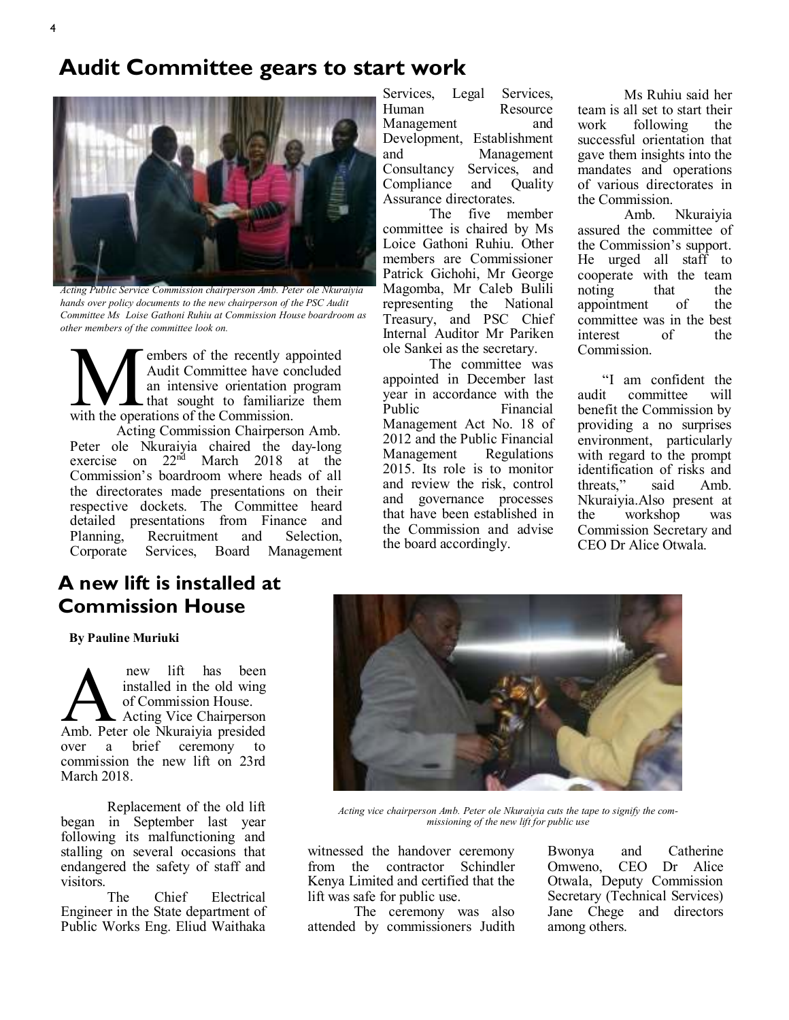



*Acting Public Service Commission chairperson Amb. Peter ole Nkuraiyia hands over policy documents to the new chairperson of the PSC Audit Committee Ms Loise Gathoni Ruhiu at Commission House boardroom as other members of the committee look on.*

**WE AND SERVIET SERVIET SERVIET SERVIET SERVIET SERVIET SURFACT SURFACT SURFACT SURFACT SURFACT SURFACT SURFACT SURFACT SURFACT SURFACT SURFACT SURFACT SURFACT SURFACT SURFACT SURFACT SURFACT SURFACT SURFACT SURFACT SURFAC** embers of the recently appointed Audit Committee have concluded an intensive orientation program that sought to familiarize them

Acting Commission Chairperson Amb. Peter ole Nkuraiyia chaired the day-long exercise on  $22^{n\ddot{d}}$  March 2018 at the Commission's boardroom where heads of all the directorates made presentations on their respective dockets. The Committee heard detailed presentations from Finance and Planning, Recruitment and Selection,<br>Corporate Services, Board Management **Management** 

### **A new lift is installed at Commission House**

**By Pauline Muriuki**

new lift has been<br>installed in the old wing<br>of Commission House.<br>Amb. Peter ole Nkuraiyia presided new lift has been installed in the old wing of Commission House. Acting Vice Chairperson over a brief ceremony to commission the new lift on 23rd March 2018.

Replacement of the old lift began in September last year following its malfunctioning and stalling on several occasions that endangered the safety of staff and visitors.

The Chief Electrical Engineer in the State department of Public Works Eng. Eliud Waithaka Services, Legal Services, Human Resource<br>Management and Management Development, Establishment and Management Consultancy Services, and Compliance and Quality Assurance directorates.

The five member committee is chaired by Ms Loice Gathoni Ruhiu. Other members are Commissioner Patrick Gichohi, Mr George Magomba, Mr Caleb Bulili representing the National Treasury, and PSC Chief Internal Auditor Mr Pariken ole Sankei as the secretary.

The committee was appointed in December last year in accordance with the<br>Public Financial Financial Management Act No. 18 of 2012 and the Public Financial Management Regulations 2015. Its role is to monitor and review the risk, control and governance processes that have been established in the Commission and advise the board accordingly.

Ms Ruhiu said her team is all set to start their<br>work following the following the successful orientation that gave them insights into the mandates and operations of various directorates in

the Commission.<br>Amb. Nkuraivia assured the committee of the Commission's support. He urged all staff to cooperate with the team noting that the<br>appointment of the appointment committee was in the best interest of the Commission.

 "I am confident the audit committee will benefit the Commission by providing a no surprises environment, particularly with regard to the prompt identification of risks and threats," said Amb. Nkuraiyia.Also present at the workshop was Commission Secretary and CEO Dr Alice Otwala.



*Acting vice chairperson Amb. Peter ole Nkuraiyia cuts the tape to signify the commissioning of the new lift for public use* 

witnessed the handover ceremony from the contractor Schindler Kenya Limited and certified that the lift was safe for public use.

The ceremony was also attended by commissioners Judith Bwonya and Catherine<br>Omweno. CEO Dr Alice CEO Dr Alice Otwala, Deputy Commission Secretary (Technical Services) Jane Chege and directors among others.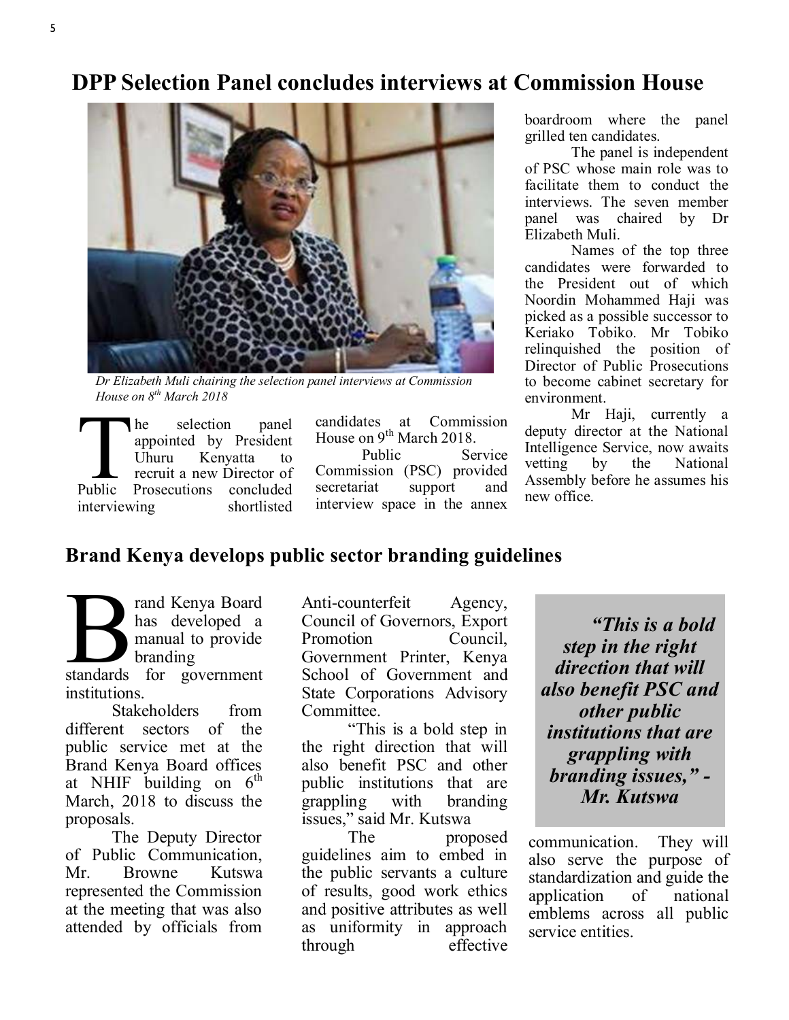### **DPP Selection Panel concludes interviews at Commission House**



*Dr Elizabeth Muli chairing the selection panel interviews at Commission House on 8th March 2018*

The selection panel<br>
appointed by President<br>
Uhuru Kenyatta to<br>
recruit a new Director of<br>
Public Prosecutions concluded he selection panel appointed by President Uhuru Kenyatta to recruit a new Director of interviewing shortlisted

candidates at Commission House on 9<sup>th</sup> March 2018. Public Service Commission (PSC) provided secretariat support and interview space in the annex

boardroom where the panel grilled ten candidates.

The panel is independent of PSC whose main role was to facilitate them to conduct the interviews. The seven member panel was chaired by Dr Elizabeth Muli.

Names of the top three candidates were forwarded to the President out of which Noordin Mohammed Haji was picked as a possible successor to Keriako Tobiko. Mr Tobiko relinquished the position of Director of Public Prosecutions to become cabinet secretary for environment.

Mr Haji, currently a deputy director at the National Intelligence Service, now awaits vetting by the National Assembly before he assumes his new office.

### **Brand Kenya develops public sector branding guidelines**

a<br>
standards for government rand Kenya Board has developed a manual to provide branding institutions.

Stakeholders from different sectors of the public service met at the Brand Kenya Board offices at NHIF building on  $6^{th}$ March, 2018 to discuss the proposals.

The Deputy Director of Public Communication, Mr. Browne Kutswa represented the Commission at the meeting that was also attended by officials from

Anti-counterfeit Agency, Council of Governors, Export Promotion Council, Government Printer, Kenya School of Government and State Corporations Advisory Committee.

"This is a bold step in the right direction that will also benefit PSC and other public institutions that are grappling with branding issues," said Mr. Kutswa

The proposed guidelines aim to embed in the public servants a culture of results, good work ethics and positive attributes as well as uniformity in approach through effective

*"This is a bold step in the right direction that will also benefit PSC and other public institutions that are grappling with branding issues," - Mr. Kutswa*

communication. They will also serve the purpose of standardization and guide the application of national emblems across all public service entities.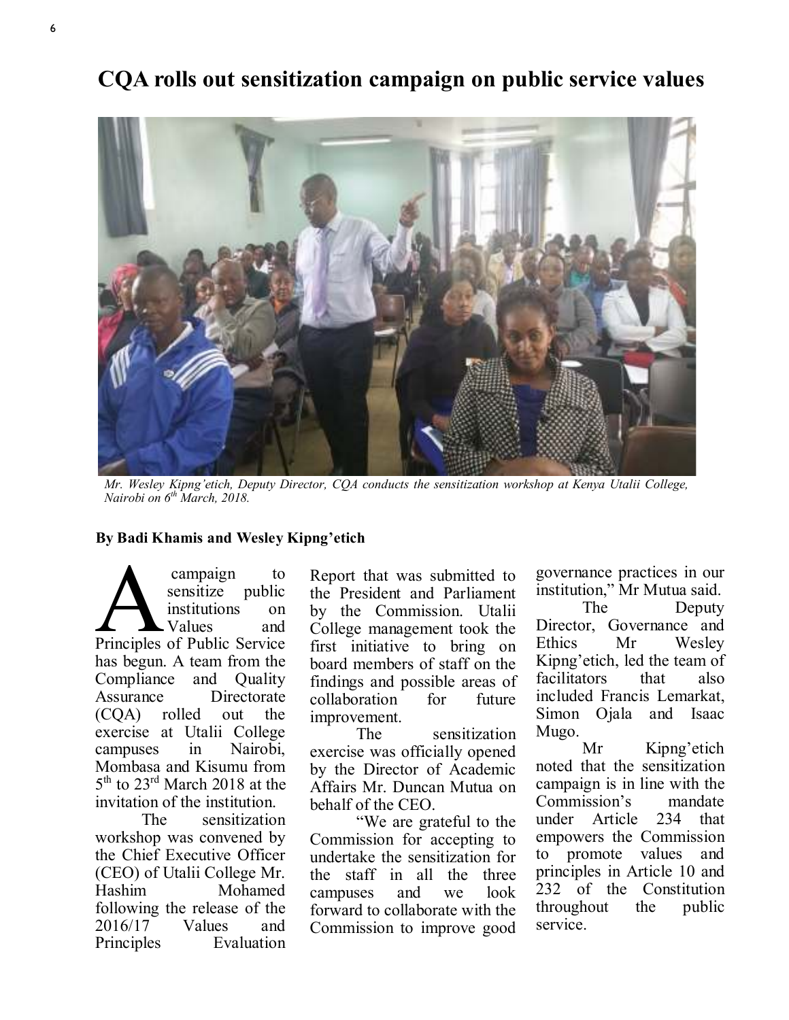**CQA rolls out sensitization campaign on public service values**

*Mr. Wesley Kipng'etich, Deputy Director, CQA conducts the sensitization workshop at Kenya Utalii College, Nairobi on 6th March, 2018.*

#### **By Badi Khamis and Wesley Kipng'etich**

campaign to<br>
sensitize public<br>
institutions on<br>
Principles of Public Service campaign to sensitize public institutions on Values and has begun. A team from the Compliance and Quality Assurance Directorate (CQA) rolled out the exercise at Utalii College campuses in Nairobi, Mombasa and Kisumu from 5<sup>th</sup> to 23<sup>rd</sup> March 2018 at the invitation of the institution.

The sensitization workshop was convened by the Chief Executive Officer (CEO) of Utalii College Mr. Hashim Mohamed following the release of the 2016/17 Values and Principles Evaluation

Report that was submitted to the President and Parliament by the Commission. Utalii College management took the first initiative to bring on board members of staff on the findings and possible areas of collaboration for future improvement.

The sensitization exercise was officially opened by the Director of Academic Affairs Mr. Duncan Mutua on behalf of the CEO.

"We are grateful to the Commission for accepting to undertake the sensitization for the staff in all the three campuses and we look forward to collaborate with the Commission to improve good governance practices in our institution," Mr Mutua said.

The Deputy Director, Governance and Ethics Mr Wesley Kipng'etich, led the team of facilitators that also included Francis Lemarkat, Simon Ojala and Isaac Mugo.

Mr Kipng'etich noted that the sensitization campaign is in line with the Commission's mandate under Article 234 that empowers the Commission to promote values and principles in Article 10 and 232 of the Constitution throughout the public service.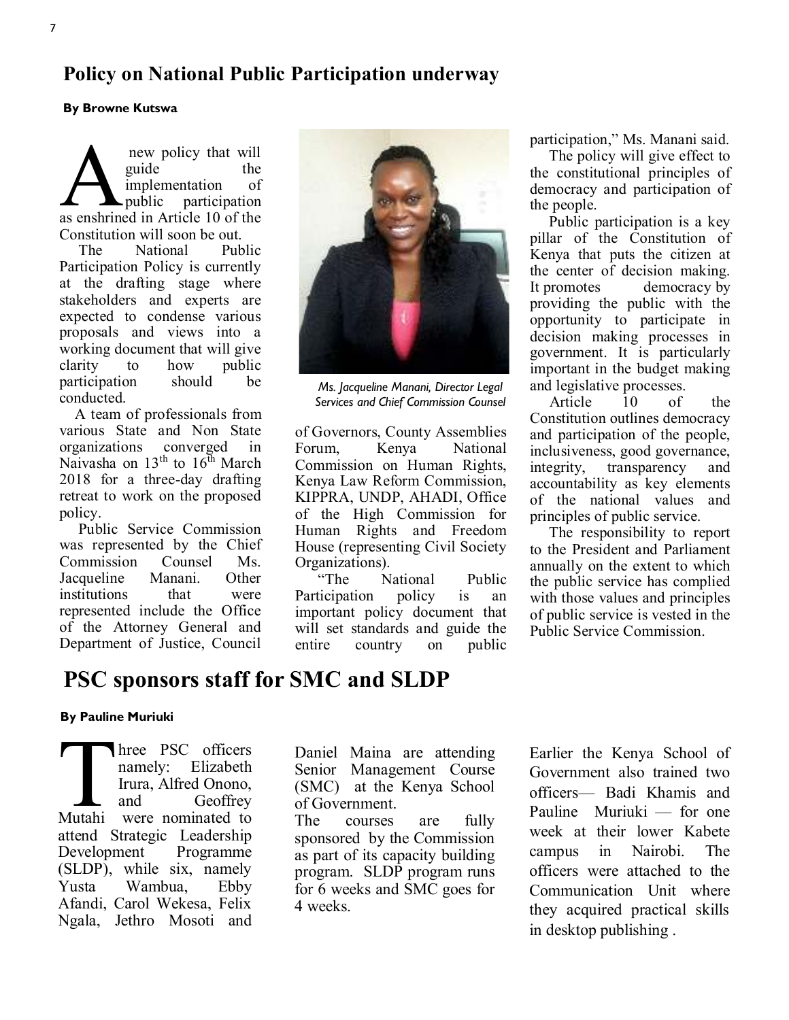### **Policy on National Public Participation underway**

#### **By Browne Kutswa**

new policy that will<br>guide the<br>implementation of<br>as enshrined in Article 10 of the new policy that will guide the implementation of public participation Constitution will soon be out.

 The National Public Participation Policy is currently at the drafting stage where stakeholders and experts are expected to condense various proposals and views into a working document that will give clarity to how public participation should be conducted.

 A team of professionals from various State and Non State organizations converged in Naivasha on  $13<sup>th</sup>$  to  $16<sup>th</sup>$  March 2018 for a three-day drafting retreat to work on the proposed policy.

 Public Service Commission was represented by the Chief Commission Counsel Ms.<br>Jacqueline Manani. Other Jacqueline Manani. Other institutions represented include the Office of the Attorney General and Department of Justice, Council



*Ms. Jacqueline Manani, Director Legal Services and Chief Commission Counsel* 

of Governors, County Assemblies Forum, Kenya National Commission on Human Rights, Kenya Law Reform Commission, KIPPRA, UNDP, AHADI, Office of the High Commission for Human Rights and Freedom House (representing Civil Society Organizations).<br>
"The N

National Public Participation policy is an important policy document that will set standards and guide the entire country on public participation," Ms. Manani said.

 The policy will give effect to the constitutional principles of democracy and participation of the people.

 Public participation is a key pillar of the Constitution of Kenya that puts the citizen at the center of decision making. It [promotes democracy](https://www.epickenyan.com/demystifying-democracy-and-democratic-process/) by providing the public with the opportunity to participate in decision making processes in government. It is particularly important in the budget making and legislative processes.

 Article 10 of the Constitution outlines democracy and participation of the people, inclusiveness, good governance, integrity, transparency and accountability as key elements of the national values and principles of public service.

 The responsibility to report to the President and Parliament annually on the extent to which the public service has complied with those values and principles of public service is vested in the Public Service Commission.

### **PSC sponsors staff for SMC and SLDP**

#### **By Pauline Muriuki**

Three PSC officers<br>
namely: Elizabeth<br>
Irura, Alfred Onono,<br>
and Geoffrey<br>
Mutahi were nominated to hree PSC officers namely: Elizabeth Irura, Alfred Onono, and Geoffrey attend Strategic Leadership Development Programme (SLDP), while six, namely Yusta Wambua, Ebby Afandi, Carol Wekesa, Felix Ngala, Jethro Mosoti and

Daniel Maina are attending Senior Management Course (SMC) at the Kenya School of Government.

The courses are fully sponsored by the Commission as part of its capacity building program. SLDP program runs for 6 weeks and SMC goes for 4 weeks.

Earlier the Kenya School of Government also trained two officers— Badi Khamis and Pauline Muriuki — for one week at their lower Kabete campus in Nairobi. The officers were attached to the Communication Unit where they acquired practical skills in desktop publishing .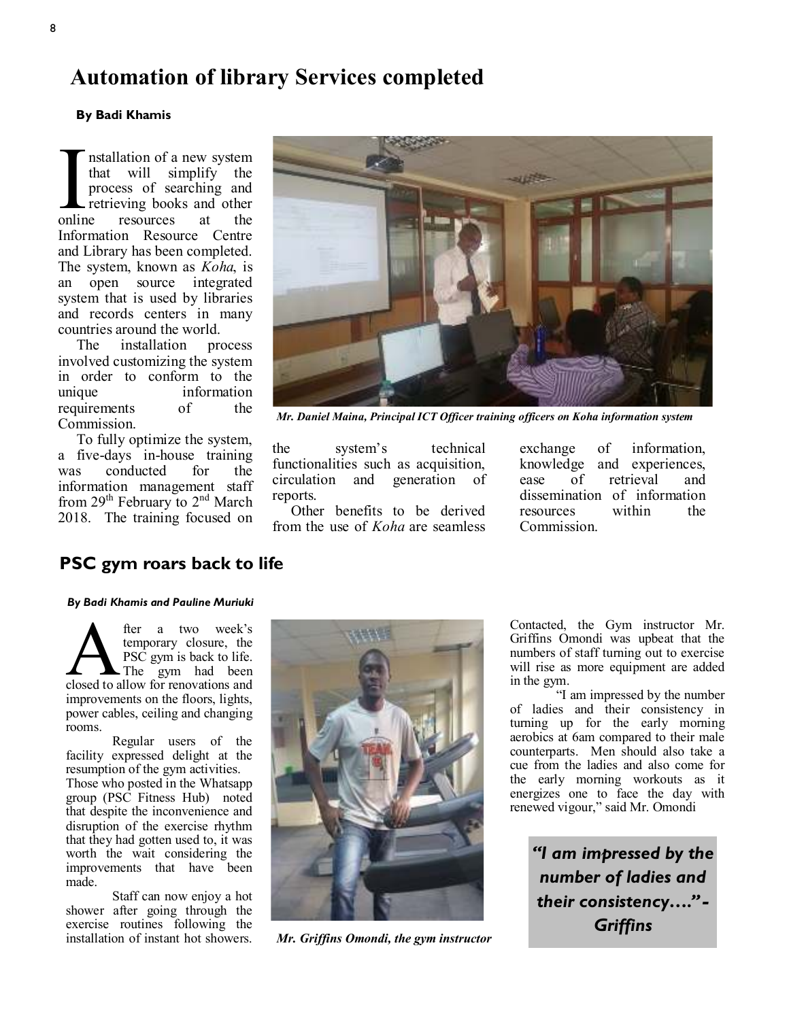### **Automation of library Services completed**

#### **By Badi Khamis**

online nstallation of a new system that will simplify the process of searching and retrieving books and other resources at the Information Resource Centre and Library has been completed. The system, known as *Koha*, is an open source integrated system that is used by libraries and records centers in many countries around the world.

 The installation process involved customizing the system in order to conform to the unique information requirements of the Commission.

 To fully optimize the system, a five-days in-house training was conducted for the information management staff from  $29<sup>th</sup>$  February to  $2<sup>nd</sup>$  March 2018. The training focused on



*Mr. Daniel Maina, Principal ICT Officer training officers on Koha information system*

the system's technical functionalities such as acquisition, circulation and generation of reports.

 Other benefits to be derived from the use of *Koha* are seamless

exchange of information, knowledge and experiences, ease of retrieval and dissemination of information<br>resources within the resources within the Commission.

#### **PSC gym roars back to life**

#### *By Badi Khamis and Pauline Muriuki*

**A** fer a two week's<br>temporary closure, the<br>PSC gym is back to life.<br>closed to allow for renovations and fter a two week's temporary closure, the PSC gym is back to life. The gym had been improvements on the floors, lights, power cables, ceiling and changing rooms.

Regular users of the facility expressed delight at the resumption of the gym activities.

Those who posted in the Whatsapp group (PSC Fitness Hub) noted that despite the inconvenience and disruption of the exercise rhythm that they had gotten used to, it was worth the wait considering the improvements that have been made.

Staff can now enjoy a hot shower after going through the exercise routines following the installation of instant hot showers.



*Mr. Griffins Omondi, the gym instructor*

Contacted, the Gym instructor Mr. Griffins Omondi was upbeat that the numbers of staff turning out to exercise will rise as more equipment are added in the gym.

"I am impressed by the number of ladies and their consistency in turning up for the early morning aerobics at 6am compared to their male counterparts. Men should also take a cue from the ladies and also come for the early morning workouts as it energizes one to face the day with renewed vigour," said Mr. Omondi

> *"I am impressed by the number of ladies and their consistency…." - Griffins*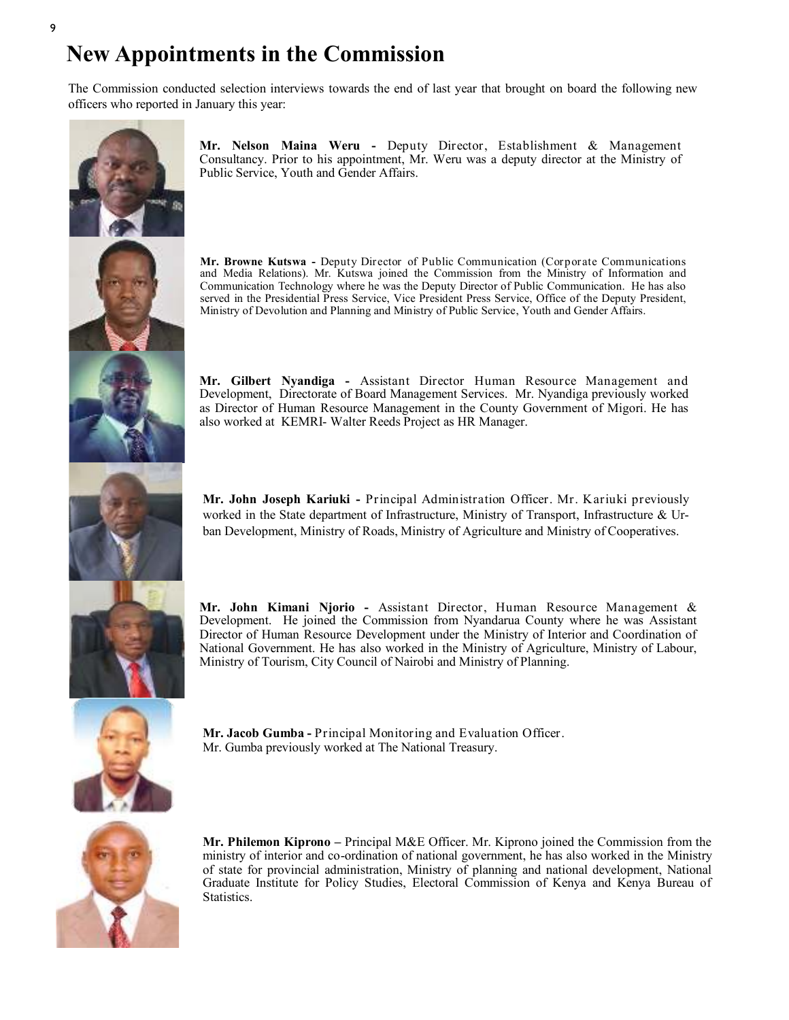### **New Appointments in the Commission**

The Commission conducted selection interviews towards the end of last year that brought on board the following new officers who reported in January this year:



**Mr. Nelson Maina Weru -** Deputy Director, Establishment & Management Consultancy. Prior to his appointment, Mr. Weru was a deputy director at the Ministry of Public Service, Youth and Gender Affairs.

**Mr. Browne Kutswa -** Deputy Director of Public Communication (Corporate Communications and Media Relations). Mr. Kutswa joined the Commission from the Ministry of Information and Communication Technology where he was the Deputy Director of Public Communication. He has also served in the Presidential Press Service, Vice President Press Service, Office of the Deputy President, Ministry of Devolution and Planning and Ministry of Public Service, Youth and Gender Affairs.

**Mr. Gilbert Nyandiga -** Assistant Director Human Resource Management and Development, Directorate of Board Management Services. Mr. Nyandiga previously worked as Director of Human Resource Management in the County Government of Migori. He has also worked at KEMRI- Walter Reeds Project as HR Manager.



**Mr. John Joseph Kariuki -** Principal Administration Officer. Mr. Kariuki previously worked in the State department of Infrastructure, Ministry of Transport, Infrastructure & Urban Development, Ministry of Roads, Ministry of Agriculture and Ministry of Cooperatives.

**Mr. John Kimani Njorio -** Assistant Director, Human Resource Management & Development. He joined the Commission from Nyandarua County where he was Assistant Director of Human Resource Development under the Ministry of Interior and Coordination of National Government. He has also worked in the Ministry of Agriculture, Ministry of Labour, Ministry of Tourism, City Council of Nairobi and Ministry of Planning.



**Mr. Jacob Gumba -** Principal Monitoring and Evaluation Officer. Mr. Gumba previously worked at The National Treasury.



**Mr. Philemon Kiprono –** Principal M&E Officer. Mr. Kiprono joined the Commission from the ministry of interior and co-ordination of national government, he has also worked in the Ministry of state for provincial administration, Ministry of planning and national development, National Graduate Institute for Policy Studies, Electoral Commission of Kenya and Kenya Bureau of Statistics.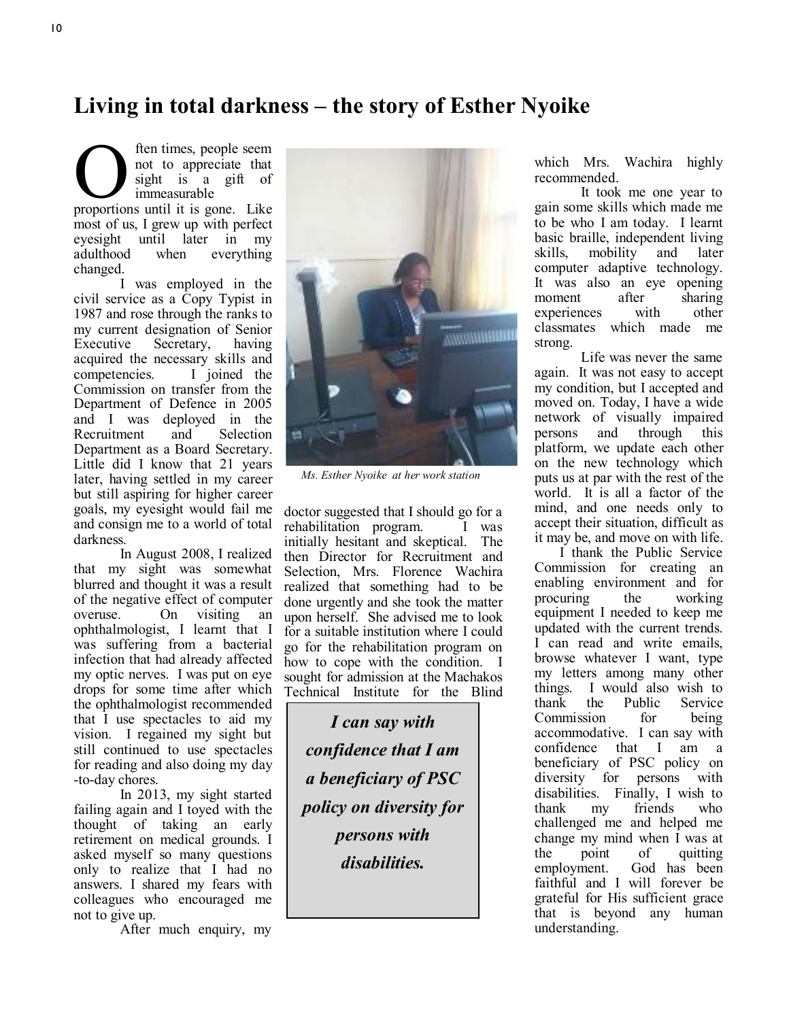### **Living in total darkness – the story of Esther Nyoike**

**O** ften times, people seem<br>
not to appreciate that<br>
sight is a gift of<br>
proportions until it is gone. Like ften times, people seem not to appreciate that sight is a gift of immeasurable

most of us, I grew up with perfect eyesight until later in my<br>adulthood when everything everything changed.

I was employed in the civil service as a Copy Typist in 1987 and rose through the ranks to my current designation of Senior Executive Secretary, having acquired the necessary skills and competencies. I joined the Commission on transfer from the Department of Defence in 2005 and I was deployed in the<br>Recruitment and Selection Recruitment Department as a Board Secretary. Little did I know that 21 years later, having settled in my career but still aspiring for higher career goals, my eyesight would fail me and consign me to a world of total darkness.

In August 2008, I realized that my sight was somewhat blurred and thought it was a result of the negative effect of computer overuse. On visiting an ophthalmologist, I learnt that I was suffering from a bacterial infection that had already affected my optic nerves. I was put on eye drops for some time after which the ophthalmologist recommended that I use spectacles to aid my vision. I regained my sight but still continued to use spectacles for reading and also doing my day -to-day chores.

In 2013, my sight started failing again and I toyed with the thought of taking an early retirement on medical grounds. I asked myself so many questions only to realize that I had no answers. I shared my fears with colleagues who encouraged me not to give up.

After much enquiry, my



*Ms. Esther Nyoike at her work station*

doctor suggested that I should go for a rehabilitation program. I was initially hesitant and skeptical. The then Director for Recruitment and Selection, Mrs. Florence Wachira realized that something had to be done urgently and she took the matter upon herself. She advised me to look for a suitable institution where I could go for the rehabilitation program on how to cope with the condition. I sought for admission at the Machakos Technical Institute for the Blind

*I can say with confidence that I am a beneficiary of PSC policy on diversity for persons with disabilities.*

which Mrs. Wachira highly recommended.

It took me one year to gain some skills which made me to be who I am today. I learnt basic braille, independent living skills, mobility and later computer adaptive technology. It was also an eye opening<br>moment after sharing moment after sharing experiences with other classmates which made me strong.

Life was never the same again. It was not easy to accept my condition, but I accepted and moved on. Today, I have a wide network of visually impaired persons and through this platform, we update each other on the new technology which puts us at par with the rest of the world. It is all a factor of the mind, and one needs only to accept their situation, difficult as it may be, and move on with life.

 I thank the Public Service Commission for creating an enabling environment and for procuring the working equipment I needed to keep me updated with the current trends. I can read and write emails, browse whatever I want, type my letters among many other things. I would also wish to<br>thank the Public Service Service Commission for being accommodative. I can say with confidence that I am a beneficiary of PSC policy on diversity for persons with disabilities. Finally, I wish to<br>thank my friends who my friends who challenged me and helped me change my mind when I was at the point of quitting employment. God has been faithful and I will forever be grateful for His sufficient grace that is beyond any human understanding.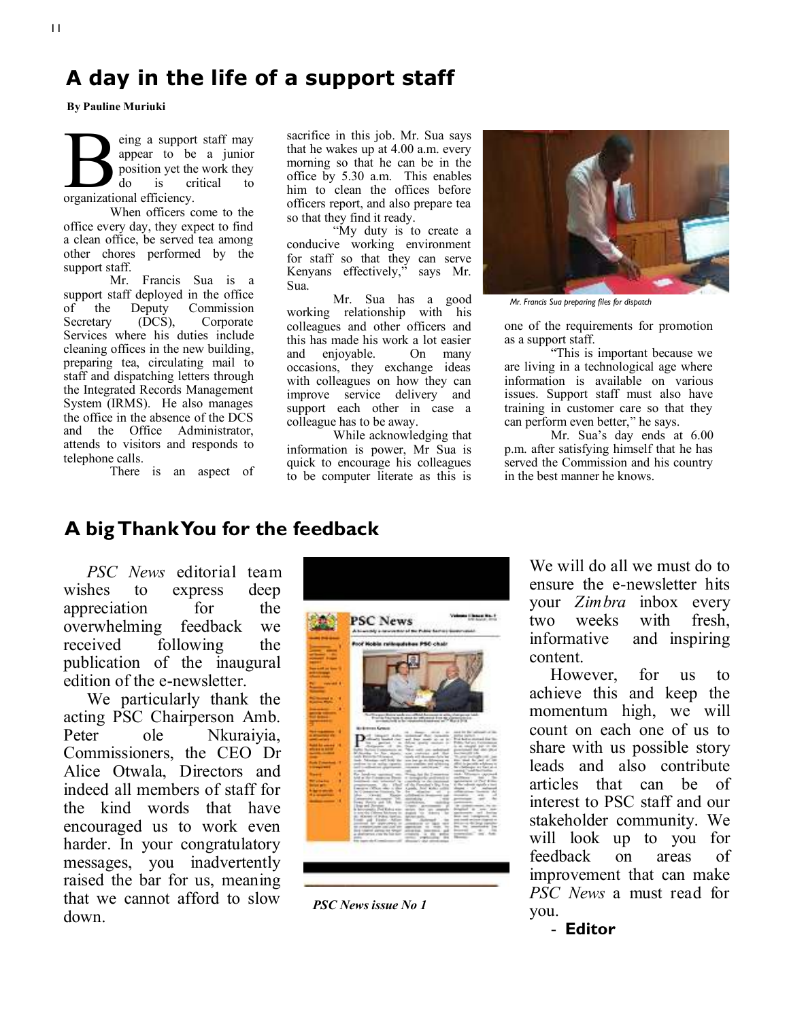### **A day in the life of a support staff**

**By Pauline Muriuki**

**B**<br>
organizational efficiency. eing a support staff may appear to be a junior position yet the work they<br>do is critical to do is critical to

When officers come to the office every day, they expect to find a clean office, be served tea among other chores performed by the support staff.

Mr. Francis Sua is a support staff deployed in the office<br>of the Deputy Commission the Deputy Commission Secretary (DCS), Corporate Services where his duties include cleaning offices in the new building, preparing tea, circulating mail to staff and dispatching letters through the Integrated Records Management System (IRMS). He also manages the office in the absence of the DCS and the Office Administrator, attends to visitors and responds to telephone calls.

There is an aspect of

sacrifice in this job. Mr. Sua says that he wakes up at 4.00 a.m. every morning so that he can be in the office by 5.30 a.m. This enables him to clean the offices before officers report, and also prepare tea so that they find it ready.

"My duty is to create a conducive working environment for staff so that they can serve Kenyans effectively," says Mr. Sua.

Mr. Sua has a good working relationship with his colleagues and other officers and this has made his work a lot easier and enjoyable. On many occasions, they exchange ideas with colleagues on how they can improve service delivery and support each other in case a colleague has to be away.

While acknowledging that information is power, Mr Sua is quick to encourage his colleagues to be computer literate as this is



*Mr. Francis Sua preparing files for dispatch* 

one of the requirements for promotion as a support staff.

"This is important because we are living in a technological age where information is available on various issues. Support staff must also have training in customer care so that they can perform even better," he says.

Mr. Sua's day ends at 6.00 p.m. after satisfying himself that he has served the Commission and his country in the best manner he knows.

### **A big Thank You for the feedback**

*PSC News* editorial team wishes to express deep appreciation for the overwhelming feedback we received following the publication of the inaugural edition of the e-newsletter.

We particularly thank the acting PSC Chairperson Amb. Peter ole Nkuraiyia, Commissioners, the CEO Dr Alice Otwala, Directors and indeed all members of staff for the kind words that have encouraged us to work even harder. In your congratulatory messages, you inadvertently raised the bar for us, meaning that we cannot afford to slow down.



*PSC News issue No 1*

We will do all we must do to ensure the e-newsletter hits your *Zimbra* inbox every two weeks with fresh, informative and inspiring content.

 However, for us to achieve this and keep the momentum high, we will count on each one of us to share with us possible story leads and also contribute articles that can be of interest to PSC staff and our stakeholder community. We will look up to you for feedback on areas of improvement that can make *PSC News* a must read for you.

- **Editor**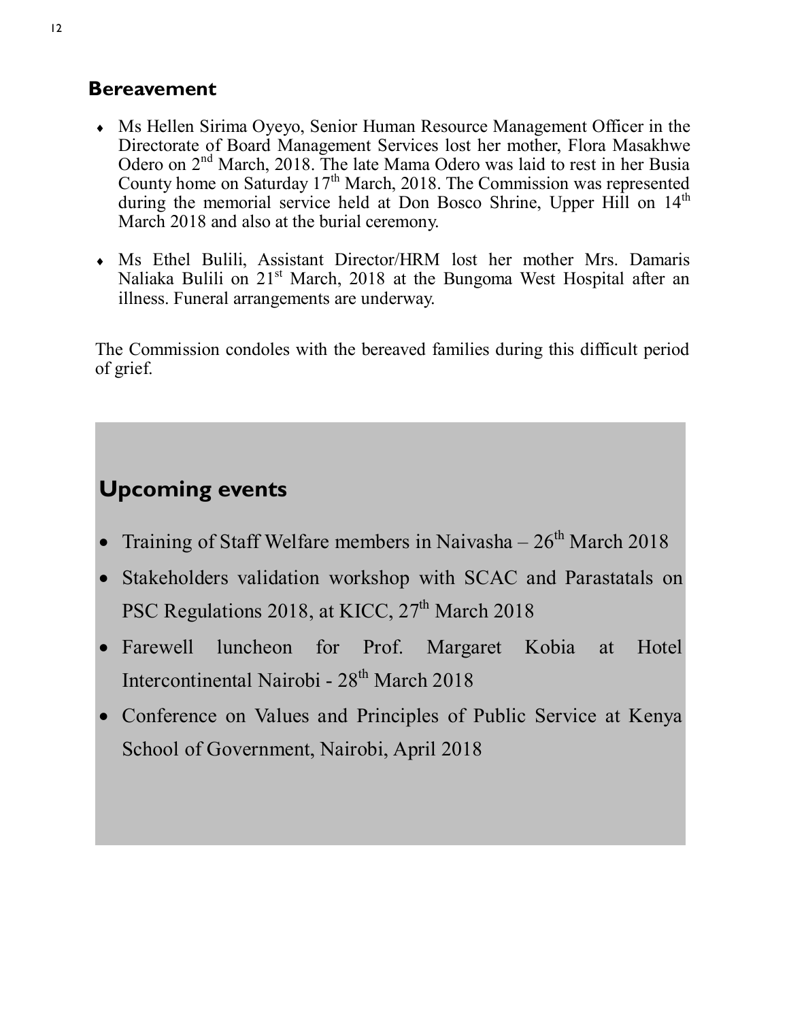### **Bereavement**

- Ms Hellen Sirima Oyeyo, Senior Human Resource Management Officer in the Directorate of Board Management Services lost her mother, Flora Masakhwe Odero on  $2<sup>nd</sup>$  March, 2018. The late Mama Odero was laid to rest in her Busia County home on Saturday  $17<sup>th</sup>$  March, 2018. The Commission was represented during the memorial service held at Don Bosco Shrine, Upper Hill on 14<sup>th</sup> March 2018 and also at the burial ceremony.
- Ms Ethel Bulili, Assistant Director/HRM lost her mother Mrs. Damaris Naliaka Bulili on 21<sup>st</sup> March, 2018 at the Bungoma West Hospital after an illness. Funeral arrangements are underway.

The Commission condoles with the bereaved families during this difficult period of grief.

### **Upcoming events**

- Training of Staff Welfare members in Naivasha  $26<sup>th</sup>$  March 2018
- Stakeholders validation workshop with SCAC and Parastatals on PSC Regulations 2018, at KICC,  $27<sup>th</sup>$  March 2018
- Farewell luncheon for Prof. Margaret Kobia at Hotel Intercontinental Nairobi - 28<sup>th</sup> March 2018
- Conference on Values and Principles of Public Service at Kenya School of Government, Nairobi, April 2018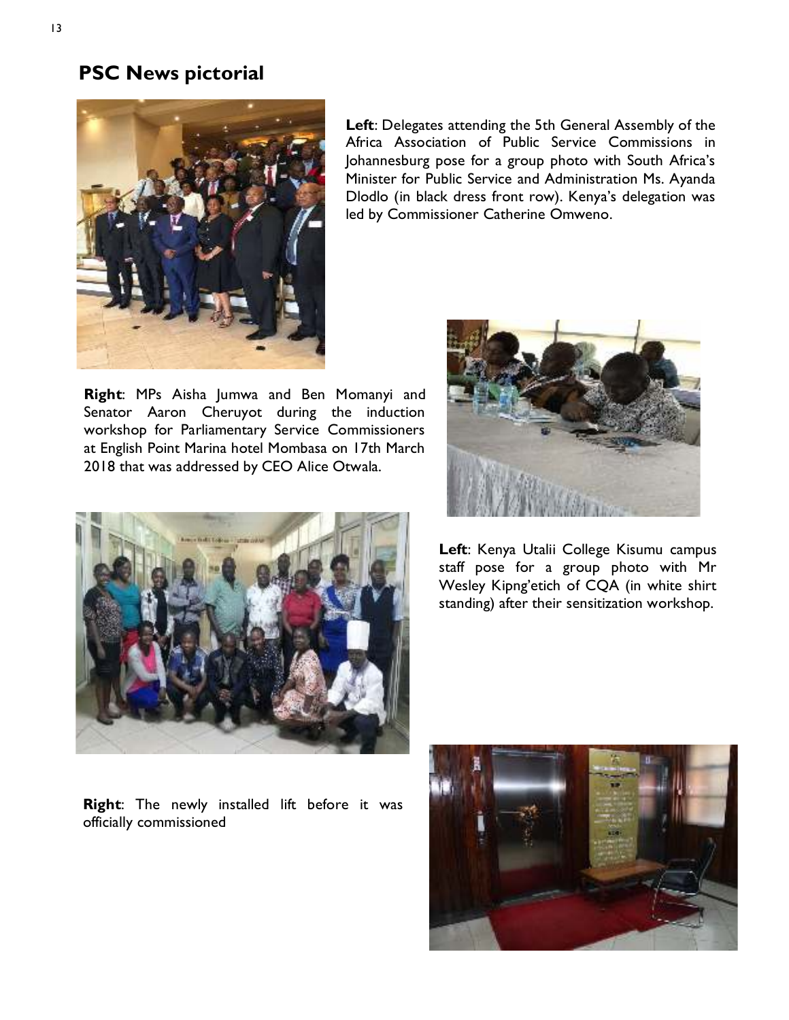### **PSC News pictorial**



**Left**: Delegates attending the 5th General Assembly of the Africa Association of Public Service Commissions in Johannesburg pose for a group photo with South Africa's Minister for Public Service and Administration Ms. Ayanda Dlodlo (in black dress front row). Kenya's delegation was led by Commissioner Catherine Omweno.

**Right**: MPs Aisha Jumwa and Ben Momanyi and Senator Aaron Cheruyot during the induction workshop for Parliamentary Service Commissioners at English Point Marina hotel Mombasa on 17th March 2018 that was addressed by CEO Alice Otwala.





**Left**: Kenya Utalii College Kisumu campus staff pose for a group photo with Mr Wesley Kipng'etich of CQA (in white shirt standing) after their sensitization workshop.

**Right**: The newly installed lift before it was officially commissioned

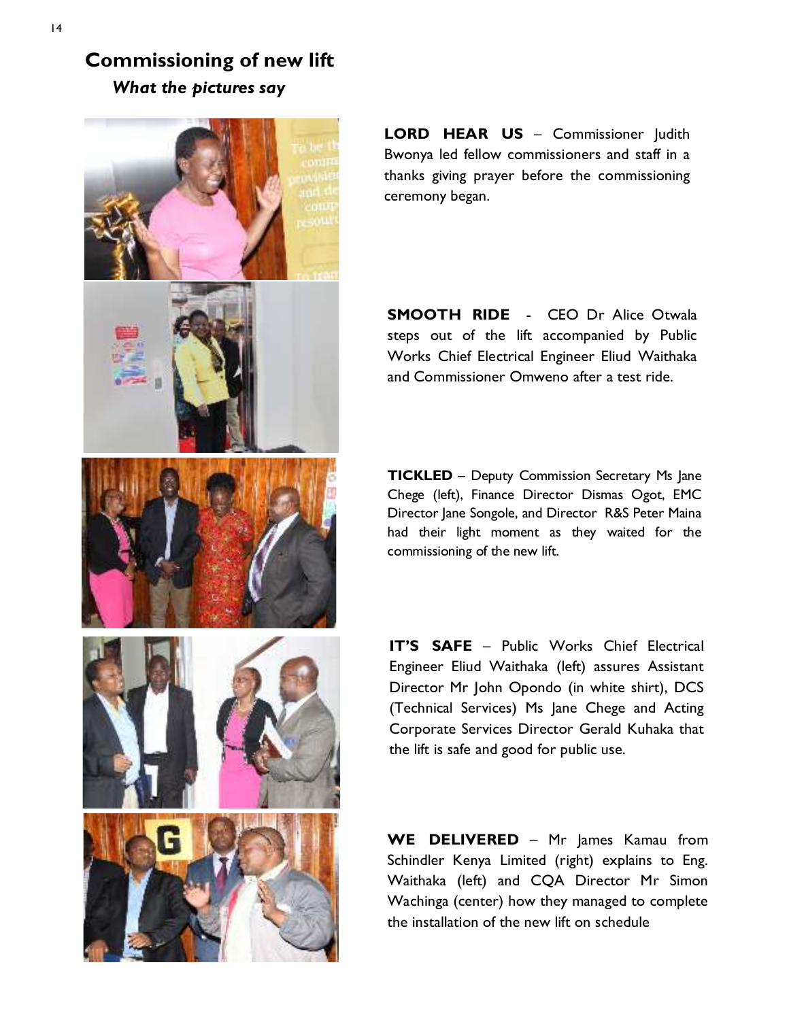**Commissioning of new lift** *What the pictures say*



**LORD HEAR US** – Commissioner Judith Bwonya led fellow commissioners and staff in a thanks giving prayer before the commissioning ceremony began.

**SMOOTH RIDE** - CEO Dr Alice Otwala steps out of the lift accompanied by Public Works Chief Electrical Engineer Eliud Waithaka and Commissioner Omweno after a test ride.

**TICKLED** – Deputy Commission Secretary Ms Jane Chege (left), Finance Director Dismas Ogot, EMC Director Jane Songole, and Director R&S Peter Maina had their light moment as they waited for the commissioning of the new lift.

**IT'S SAFE** – Public Works Chief Electrical Engineer Eliud Waithaka (left) assures Assistant Director Mr John Opondo (in white shirt), DCS (Technical Services) Ms Jane Chege and Acting Corporate Services Director Gerald Kuhaka that the lift is safe and good for public use.

WE DELIVERED - Mr James Kamau from Schindler Kenya Limited (right) explains to Eng. Waithaka (left) and CQA Director Mr Simon Wachinga (center) how they managed to complete the installation of the new lift on schedule